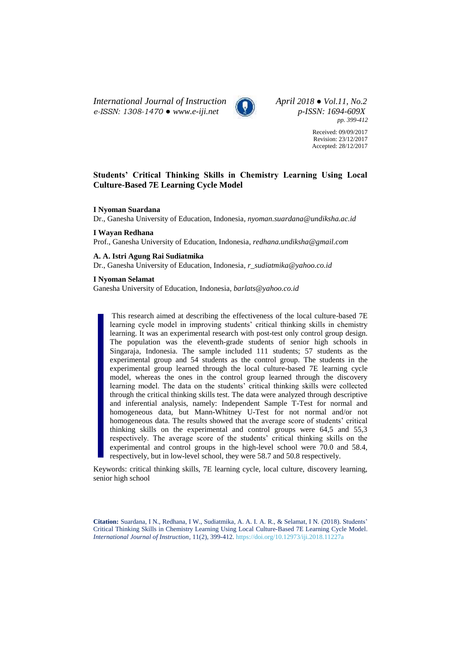*International Journal of Instruction April 2018 ● Vol.11, No.2 e-ISSN: 1308-1470 ● [www.e-iji.net](http://www.e-iji.net/) p-ISSN: 1694-609X*



*pp. 399-412*

Received: 09/09/2017 Revision: 23/12/2017 Accepted: 28/12/2017

# **Students' Critical Thinking Skills in Chemistry Learning Using Local Culture-Based 7E Learning Cycle Model**

**I Nyoman Suardana**

Dr., Ganesha University of Education, Indonesia, *nyoman.suardana@undiksha.ac.id*

**I Wayan Redhana**

Prof., Ganesha University of Education, Indonesia, *redhana.undiksha@gmail.com*

**A. A. Istri Agung Rai Sudiatmika** Dr., Ganesha University of Education, Indonesia, *r\_sudiatmika@yahoo.co.id*

# **I Nyoman Selamat**

Ganesha University of Education, Indonesia, *barlats@yahoo.co.id*

This research aimed at describing the effectiveness of the local culture-based 7E learning cycle model in improving students' critical thinking skills in chemistry learning. It was an experimental research with post-test only control group design. The population was the eleventh-grade students of senior high schools in Singaraja, Indonesia. The sample included 111 students; 57 students as the experimental group and 54 students as the control group. The students in the experimental group learned through the local culture-based 7E learning cycle model, whereas the ones in the control group learned through the discovery learning model. The data on the students' critical thinking skills were collected through the critical thinking skills test. The data were analyzed through descriptive and inferential analysis, namely: Independent Sample T-Test for normal and homogeneous data, but Mann-Whitney U-Test for not normal and/or not homogeneous data. The results showed that the average score of students' critical thinking skills on the experimental and control groups were 64,5 and 55,3 respectively. The average score of the students' critical thinking skills on the experimental and control groups in the high-level school were 70.0 and 58.4, respectively, but in low-level school, they were 58.7 and 50.8 respectively.

Keywords: critical thinking skills, 7E learning cycle, local culture, discovery learning, senior high school

**Citation:** Suardana, I N., Redhana, I W., Sudiatmika, A. A. I. A. R., & Selamat, I N. (2018). Students' Critical Thinking Skills in Chemistry Learning Using Local Culture-Based 7E Learning Cycle Model. *International Journal of Instruction*, 11(2), 399-412. <https://doi.org/10.12973/iji.2018.11227a>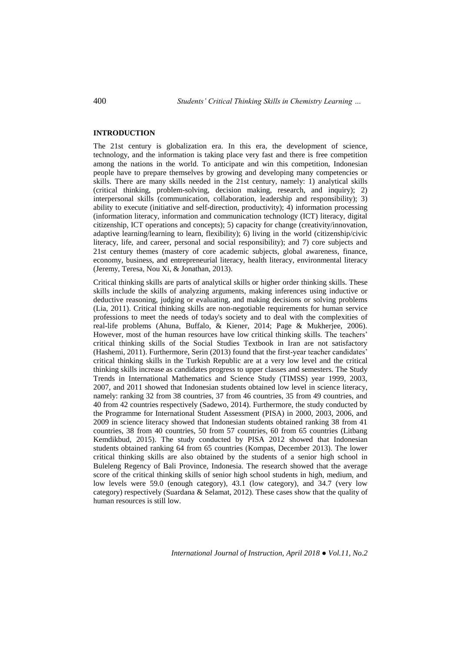# **INTRODUCTION**

The 21st century is globalization era. In this era, the development of science, technology, and the information is taking place very fast and there is free competition among the nations in the world. To anticipate and win this competition, Indonesian people have to prepare themselves by growing and developing many competencies or skills. There are many skills needed in the 21st century, namely: 1) analytical skills (critical thinking, problem-solving, decision making, research, and inquiry); 2) interpersonal skills (communication, collaboration, leadership and responsibility); 3) ability to execute (initiative and self-direction, productivity); 4) information processing (information literacy, information and communication technology (ICT) literacy, digital citizenship, ICT operations and concepts); 5) capacity for change (creativity/innovation, adaptive learning/learning to learn, flexibility); 6) living in the world (citizenship/civic literacy, life, and career, personal and social responsibility); and 7) core subjects and 21st century themes (mastery of core academic subjects, global awareness, finance, economy, business, and entrepreneurial literacy, health literacy, environmental literacy (Jeremy, Teresa, Nou Xi, & Jonathan, 2013).

Critical thinking skills are parts of analytical skills or higher order thinking skills. These skills include the skills of analyzing arguments, making inferences using inductive or deductive reasoning, judging or evaluating, and making decisions or solving problems (Lia, 2011). Critical thinking skills are non-negotiable requirements for human service professions to meet the needs of today's society and to deal with the complexities of real-life problems (Ahuna, Buffalo, & Kiener, 2014; Page & Mukherjee, 2006). However, most of the human resources have low critical thinking skills. The teachers' critical thinking skills of the Social Studies Textbook in Iran are not satisfactory (Hashemi, 2011). Furthermore, Serin (2013) found that the first-year teacher candidates' critical thinking skills in the Turkish Republic are at a very low level and the critical thinking skills increase as candidates progress to upper classes and semesters. The Study Trends in International Mathematics and Science Study (TIMSS) year 1999, 2003, 2007, and 2011 showed that Indonesian students obtained low level in science literacy, namely: ranking 32 from 38 countries, 37 from 46 countries, 35 from 49 countries, and 40 from 42 countries respectively (Sadewo, 2014). Furthermore, the study conducted by the Programme for International Student Assessment (PISA) in 2000, 2003, 2006, and 2009 in science literacy showed that Indonesian students obtained ranking 38 from 41 countries, 38 from 40 countries, 50 from 57 countries, 60 from 65 countries (Litbang Kemdikbud, 2015). The study conducted by PISA 2012 showed that Indonesian students obtained ranking 64 from 65 countries (Kompas, December 2013). The lower critical thinking skills are also obtained by the students of a senior high school in Buleleng Regency of Bali Province, Indonesia. The research showed that the average score of the critical thinking skills of senior high school students in high, medium, and low levels were 59.0 (enough category), 43.1 (low category), and 34.7 (very low category) respectively (Suardana & Selamat, 2012). These cases show that the quality of human resources is still low.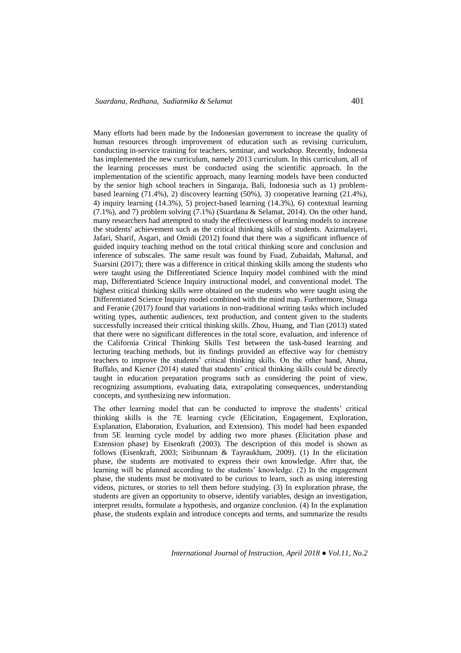Many efforts had been made by the Indonesian government to increase the quality of human resources through improvement of education such as revising curriculum, conducting in-service training for teachers, seminar, and workshop. Recently, Indonesia has implemented the new curriculum, namely 2013 curriculum. In this curriculum, all of the learning processes must be conducted using the scientific approach. In the implementation of the scientific approach, many learning models have been conducted by the senior high school teachers in Singaraja, Bali, Indonesia such as 1) problembased learning (71.4%), 2) discovery learning (50%), 3) cooperative learning (21.4%), 4) inquiry learning (14.3%), 5) project-based learning (14.3%), 6) contextual learning (7.1%), and 7) problem solving (7.1%) (Suardana & Selamat, 2014). On the other hand, many researchers had attempted to study the effectiveness of learning models to increase the students' achievement such as the critical thinking skills of students. Azizmalayeri, Jafari, Sharif, Asgari, and Omidi (2012) found that there was a significant influence of guided inquiry teaching method on the total critical thinking score and conclusion and inference of subscales. The same result was found by Fuad, Zubaidah, Mahanal, and Suarsini (2017); there was a difference in critical thinking skills among the students who were taught using the Differentiated Science Inquiry model combined with the mind map, Differentiated Science Inquiry instructional model, and conventional model. The highest critical thinking skills were obtained on the students who were taught using the Differentiated Science Inquiry model combined with the mind map. Furthermore, Sinaga and Feranie (2017) found that variations in non-traditional writing tasks which included writing types, authentic audiences, text production, and content given to the students successfully increased their critical thinking skills. Zhou, Huang, and Tian (2013) stated that there were no significant differences in the total score, evaluation, and inference of the California Critical Thinking Skills Test between the task-based learning and lecturing teaching methods, but its findings provided an effective way for chemistry teachers to improve the students' critical thinking skills. On the other hand, Ahuna, Buffalo, and Kiener (2014) stated that students' critical thinking skills could be directly taught in education preparation programs such as considering the point of view, recognizing assumptions, evaluating data, extrapolating consequences, understanding concepts, and synthesizing new information.

The other learning model that can be conducted to improve the students' critical thinking skills is the 7E learning cycle (Elicitation, Engagement, Exploration, Explanation, Elaboration, Evaluation, and Extension). This model had been expanded from 5E learning cycle model by adding two more phases (Elicitation phase and Extension phase) by Eisenkraft (2003). The description of this model is shown as follows (Eisenkraft, 2003; Siribunnam & Tayraukham, 2009). (1) In the elicitation phase, the students are motivated to express their own knowledge. After that, the learning will be planned according to the students' knowledge. (2) In the engagement phase, the students must be motivated to be curious to learn, such as using interesting videos, pictures, or stories to tell them before studying. (3) In exploration phrase, the students are given an opportunity to observe, identify variables, design an investigation, interpret results, formulate a hypothesis, and organize conclusion. (4) In the explanation phase, the students explain and introduce concepts and terms, and summarize the results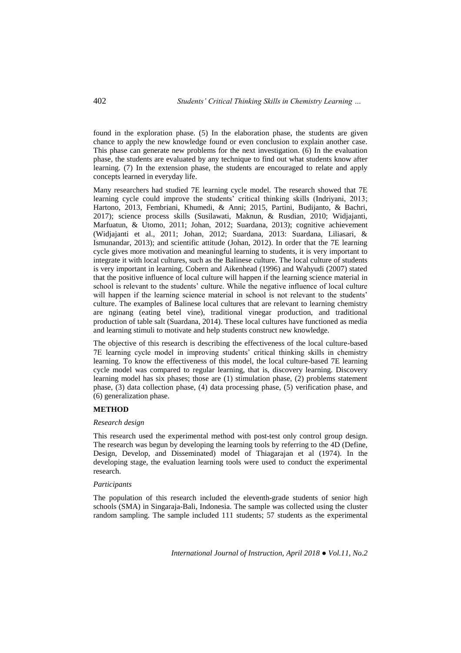found in the exploration phase. (5) In the elaboration phase, the students are given chance to apply the new knowledge found or even conclusion to explain another case. This phase can generate new problems for the next investigation. (6) In the evaluation phase, the students are evaluated by any technique to find out what students know after learning. (7) In the extension phase, the students are encouraged to relate and apply concepts learned in everyday life.

Many researchers had studied 7E learning cycle model. The research showed that 7E learning cycle could improve the students' critical thinking skills (Indriyani, 2013; Hartono, 2013, Fembriani, Khumedi, & Anni; 2015, Partini, Budijanto, & Bachri, 2017); science process skills (Susilawati, Maknun, & Rusdian, 2010; Widjajanti, Marfuatun, & Utomo, 2011; Johan, 2012; Suardana, 2013); cognitive achievement (Widjajanti et al., 2011; Johan, 2012; Suardana, 2013: Suardana, Liliasari, & Ismunandar, 2013); and scientific attitude (Johan, 2012). In order that the 7E learning cycle gives more motivation and meaningful learning to students, it is very important to integrate it with local cultures, such as the Balinese culture. The local culture of students is very important in learning. Cobern and Aikenhead (1996) and Wahyudi (2007) stated that the positive influence of local culture will happen if the learning science material in school is relevant to the students' culture. While the negative influence of local culture will happen if the learning science material in school is not relevant to the students' culture. The examples of Balinese local cultures that are relevant to learning chemistry are nginang (eating betel vine), traditional vinegar production, and traditional production of table salt (Suardana, 2014). These local cultures have functioned as media and learning stimuli to motivate and help students construct new knowledge.

The objective of this research is describing the effectiveness of the local culture-based 7E learning cycle model in improving students' critical thinking skills in chemistry learning. To know the effectiveness of this model, the local culture-based 7E learning cycle model was compared to regular learning, that is, discovery learning. Discovery learning model has six phases; those are (1) stimulation phase, (2) problems statement phase, (3) data collection phase, (4) data processing phase, (5) verification phase, and (6) generalization phase.

# **METHOD**

#### *Research design*

This research used the experimental method with post-test only control group design. The research was begun by developing the learning tools by referring to the 4D (Define, Design, Develop, and Disseminated) model of Thiagarajan et al (1974). In the developing stage, the evaluation learning tools were used to conduct the experimental research.

#### *Participants*

The population of this research included the eleventh-grade students of senior high schools (SMA) in Singaraja-Bali, Indonesia. The sample was collected using the cluster random sampling. The sample included 111 students; 57 students as the experimental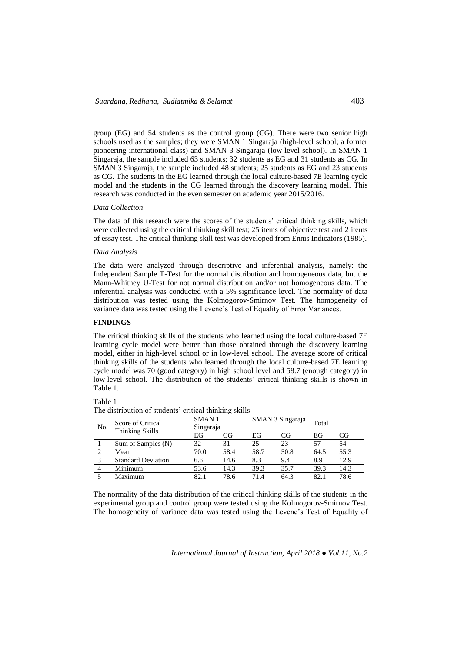group (EG) and 54 students as the control group (CG). There were two senior high schools used as the samples; they were SMAN 1 Singaraja (high-level school; a former pioneering international class) and SMAN 3 Singaraja (low-level school). In SMAN 1 Singaraja, the sample included 63 students; 32 students as EG and 31 students as CG. In SMAN 3 Singaraja, the sample included 48 students; 25 students as EG and 23 students as CG. The students in the EG learned through the local culture-based 7E learning cycle model and the students in the CG learned through the discovery learning model. This research was conducted in the even semester on academic year 2015/2016.

#### *Data Collection*

The data of this research were the scores of the students' critical thinking skills, which were collected using the critical thinking skill test; 25 items of objective test and 2 items of essay test. The critical thinking skill test was developed from Ennis Indicators (1985).

## *Data Analysis*

The data were analyzed through descriptive and inferential analysis, namely: the Independent Sample T-Test for the normal distribution and homogeneous data, but the Mann-Whitney U-Test for not normal distribution and/or not homogeneous data. The inferential analysis was conducted with a 5% significance level. The normality of data distribution was tested using the Kolmogorov-Smirnov Test. The homogeneity of variance data was tested using the Levene's Test of Equality of Error Variances.

#### **FINDINGS**

The critical thinking skills of the students who learned using the local culture-based 7E learning cycle model were better than those obtained through the discovery learning model, either in high-level school or in low-level school. The average score of critical thinking skills of the students who learned through the local culture-based 7E learning cycle model was 70 (good category) in high school level and 58.7 (enough category) in low-level school. The distribution of the students' critical thinking skills is shown in Table 1.

#### Table 1

|  |  | The distribution of students' critical thinking skills |  |
|--|--|--------------------------------------------------------|--|
|  |  |                                                        |  |

| No. | Score of Critical<br>Thinking Skills | SMAN <sub>1</sub><br>Singaraja |      | SMAN 3 Singaraja |      | Total |      |
|-----|--------------------------------------|--------------------------------|------|------------------|------|-------|------|
|     |                                      | ЕG                             | CG   | EG               | CG   | EG    | CG   |
|     | Sum of Samples (N)                   | 32                             | 31   | 25               | 23   | 57    | 54   |
|     | Mean                                 | 70.0                           | 58.4 | 58.7             | 50.8 | 64.5  | 55.3 |
|     | <b>Standard Deviation</b>            | 6.6                            | 14.6 | 8.3              | 9.4  | 8.9   | 12.9 |
|     | Minimum                              | 53.6                           | 14.3 | 39.3             | 35.7 | 39.3  | 14.3 |
|     | Maximum                              | 82.1                           | 78.6 | 71.4             | 64.3 | 82.1  | 78.6 |

The normality of the data distribution of the critical thinking skills of the students in the experimental group and control group were tested using the Kolmogorov-Smirnov Test. The homogeneity of variance data was tested using the Levene's Test of Equality of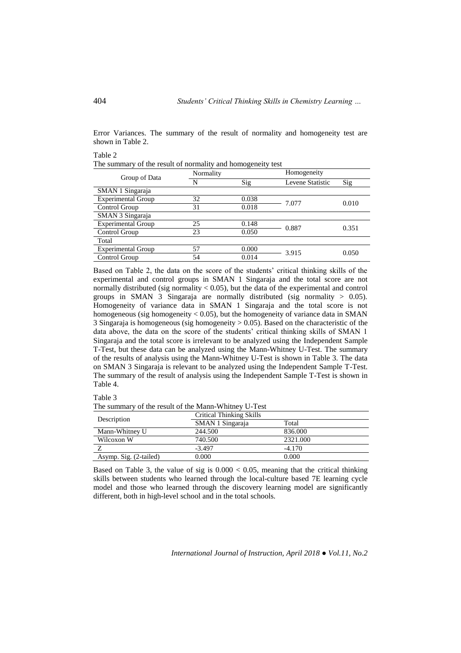Error Variances. The summary of the result of normality and homogeneity test are shown in Table 2.

|                           | Normality      |                | Homogeneity      |       |  |
|---------------------------|----------------|----------------|------------------|-------|--|
| Group of Data             | $\mathrm{Sig}$ |                | Levene Statistic | Sig   |  |
| SMAN 1 Singaraja          |                |                |                  |       |  |
| <b>Experimental Group</b> | 32             | 0.038<br>7.077 |                  | 0.010 |  |
| Control Group             | 31             | 0.018          |                  |       |  |
| SMAN 3 Singaraja          |                |                |                  |       |  |
| <b>Experimental Group</b> | 25             | 0.148          |                  |       |  |
| Control Group             | 23             | 0.050          | 0.887            | 0.351 |  |
| Total                     |                |                |                  |       |  |
| <b>Experimental Group</b> | 57             | 0.000          | 3.915            |       |  |
| Control Group             | 54             | 0.014          |                  | 0.050 |  |

Based on Table 2, the data on the score of the students' critical thinking skills of the experimental and control groups in SMAN 1 Singaraja and the total score are not normally distributed (sig normality < 0.05), but the data of the experimental and control groups in SMAN 3 Singaraja are normally distributed (sig normality > 0.05). Homogeneity of variance data in SMAN 1 Singaraja and the total score is not homogeneous (sig homogeneity  $< 0.05$ ), but the homogeneity of variance data in SMAN 3 Singaraja is homogeneous (sig homogeneity  $> 0.05$ ). Based on the characteristic of the data above, the data on the score of the students' critical thinking skills of SMAN 1 Singaraja and the total score is irrelevant to be analyzed using the Independent Sample T-Test, but these data can be analyzed using the Mann-Whitney U-Test. The summary of the results of analysis using the Mann-Whitney U-Test is shown in Table 3. The data on SMAN 3 Singaraja is relevant to be analyzed using the Independent Sample T-Test. The summary of the result of analysis using the Independent Sample T-Test is shown in Table 4.

Table 3

The summary of the result of the Mann-Whitney U-Test

|                        | <b>Critical Thinking Skills</b> |          |
|------------------------|---------------------------------|----------|
| Description            | SMAN 1 Singaraja                | Total    |
| Mann-Whitney U         | 244.500                         | 836,000  |
| Wilcoxon W             | 740.500                         | 2321.000 |
|                        | $-3.497$                        | $-4.170$ |
| Asymp. Sig. (2-tailed) | 0.000                           | 0.000    |

Based on Table 3, the value of sig is  $0.000 < 0.05$ , meaning that the critical thinking skills between students who learned through the local-culture based 7E learning cycle model and those who learned through the discovery learning model are significantly different, both in high-level school and in the total schools.

*International Journal of Instruction, April 2018 ● Vol.11, No.2*

Table 2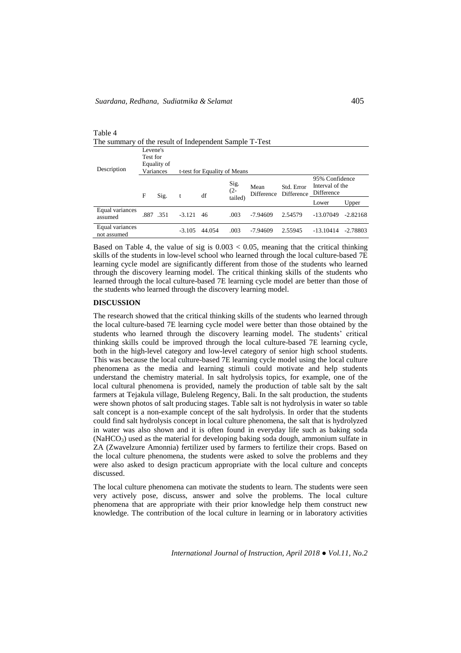| The summary of the result of independent Sample 1-Test |                      |                          |          |                              |                |                    |                          |                                                 |            |
|--------------------------------------------------------|----------------------|--------------------------|----------|------------------------------|----------------|--------------------|--------------------------|-------------------------------------------------|------------|
| Description                                            | Levene's<br>Test for | Equality of<br>Variances |          | t-test for Equality of Means |                |                    |                          |                                                 |            |
|                                                        | F                    | Sig.                     |          | df                           | Sig.<br>$(2 -$ | Mean<br>Difference | Std. Error<br>Difference | 95% Confidence<br>Interval of the<br>Difference |            |
|                                                        |                      |                          |          |                              | tailed)        |                    |                          | Lower                                           | Upper      |
| Equal variances<br>assumed                             |                      | .887.351                 | $-3.121$ | 46                           | .003           | $-7.94609$         | 2.54579                  | $-13.07049$                                     | $-2.82168$ |
| Equal variances<br>not assumed                         |                      |                          | $-3.105$ | 44.054                       | .003           | $-7.94609$         | 2.55945                  | $-13.10414$                                     | $-2.78803$ |

Table 4 The summary of the result of Independent Sample T-Test

Based on Table 4, the value of sig is  $0.003 < 0.05$ , meaning that the critical thinking skills of the students in low-level school who learned through the local culture-based 7E learning cycle model are significantly different from those of the students who learned through the discovery learning model. The critical thinking skills of the students who learned through the local culture-based 7E learning cycle model are better than those of the students who learned through the discovery learning model.

# **DISCUSSION**

The research showed that the critical thinking skills of the students who learned through the local culture-based 7E learning cycle model were better than those obtained by the students who learned through the discovery learning model. The students' critical thinking skills could be improved through the local culture-based 7E learning cycle, both in the high-level category and low-level category of senior high school students. This was because the local culture-based 7E learning cycle model using the local culture phenomena as the media and learning stimuli could motivate and help students understand the chemistry material. In salt hydrolysis topics, for example, one of the local cultural phenomena is provided, namely the production of table salt by the salt farmers at Tejakula village, Buleleng Regency, Bali. In the salt production, the students were shown photos of salt producing stages. Table salt is not hydrolysis in water so table salt concept is a non-example concept of the salt hydrolysis. In order that the students could find salt hydrolysis concept in local culture phenomena, the salt that is hydrolyzed in water was also shown and it is often found in everyday life such as baking soda (NaHCO<sub>3</sub>) used as the material for developing baking soda dough, ammonium sulfate in ZA (Zwavelzure Amonnia) fertilizer used by farmers to fertilize their crops. Based on the local culture phenomena, the students were asked to solve the problems and they were also asked to design practicum appropriate with the local culture and concepts discussed.

The local culture phenomena can motivate the students to learn. The students were seen very actively pose, discuss, answer and solve the problems. The local culture phenomena that are appropriate with their prior knowledge help them construct new knowledge. The contribution of the local culture in learning or in laboratory activities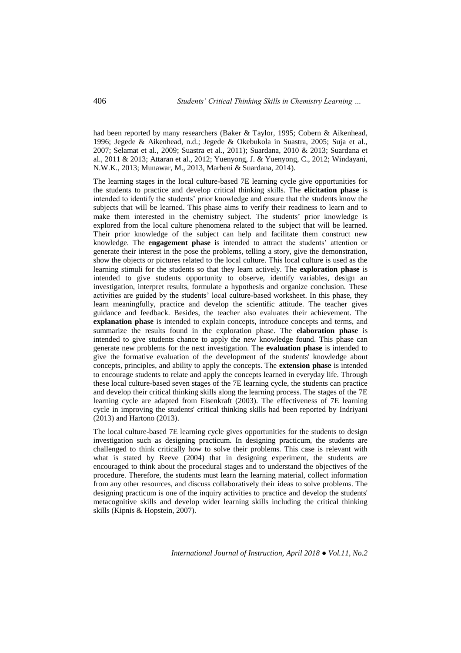had been reported by many researchers (Baker & Taylor, 1995; Cobern & Aikenhead, 1996; Jegede & Aikenhead, n.d.; Jegede & Okebukola in Suastra, 2005; Suja et al., 2007; Selamat et al., 2009; Suastra et al., 2011); Suardana, 2010 & 2013; Suardana et al., 2011 & 2013; Attaran et al., 2012; Yuenyong, J. & Yuenyong, C., 2012; Windayani, N.W.K., 2013; Munawar, M., 2013, Marheni & Suardana, 2014).

The learning stages in the local culture-based 7E learning cycle give opportunities for the students to practice and develop critical thinking skills. The **elicitation phase** is intended to identify the students' prior knowledge and ensure that the students know the subjects that will be learned. This phase aims to verify their readiness to learn and to make them interested in the chemistry subject. The students' prior knowledge is explored from the local culture phenomena related to the subject that will be learned. Their prior knowledge of the subject can help and facilitate them construct new knowledge. The **engagement phase** is intended to attract the students' attention or generate their interest in the pose the problems, telling a story, give the demonstration, show the objects or pictures related to the local culture. This local culture is used as the learning stimuli for the students so that they learn actively. The **exploration phase** is intended to give students opportunity to observe, identify variables, design an investigation, interpret results, formulate a hypothesis and organize conclusion. These activities are guided by the students' local culture-based worksheet. In this phase, they learn meaningfully, practice and develop the scientific attitude. The teacher gives guidance and feedback. Besides, the teacher also evaluates their achievement. The **explanation phase** is intended to explain concepts, introduce concepts and terms, and summarize the results found in the exploration phase. The **elaboration phase** is intended to give students chance to apply the new knowledge found. This phase can generate new problems for the next investigation. The **evaluation phase** is intended to give the formative evaluation of the development of the students' knowledge about concepts, principles, and ability to apply the concepts. The **extension phase** is intended to encourage students to relate and apply the concepts learned in everyday life. Through these local culture-based seven stages of the 7E learning cycle, the students can practice and develop their critical thinking skills along the learning process. The stages of the 7E learning cycle are adapted from Eisenkraft (2003). The effectiveness of 7E learning cycle in improving the students' critical thinking skills had been reported by Indriyani (2013) and Hartono (2013).

The local culture-based 7E learning cycle gives opportunities for the students to design investigation such as designing practicum. In designing practicum, the students are challenged to think critically how to solve their problems. This case is relevant with what is stated by Reeve (2004) that in designing experiment, the students are encouraged to think about the procedural stages and to understand the objectives of the procedure. Therefore, the students must learn the learning material, collect information from any other resources, and discuss collaboratively their ideas to solve problems. The designing practicum is one of the inquiry activities to practice and develop the students' metacognitive skills and develop wider learning skills including the critical thinking skills (Kipnis & Hopstein, 2007).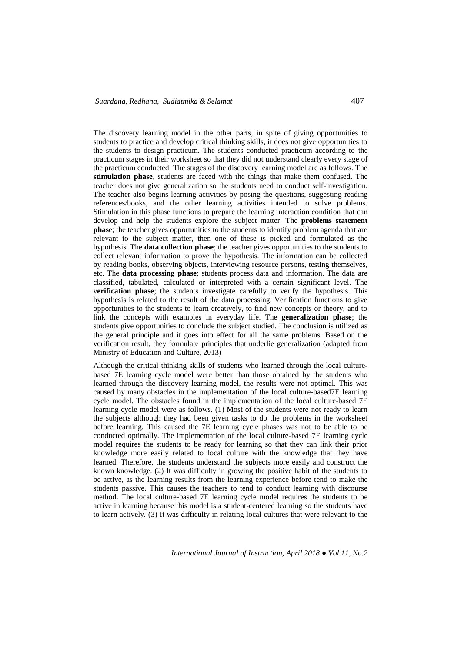The discovery learning model in the other parts, in spite of giving opportunities to students to practice and develop critical thinking skills, it does not give opportunities to the students to design practicum. The students conducted practicum according to the practicum stages in their worksheet so that they did not understand clearly every stage of the practicum conducted. The stages of the discovery learning model are as follows. The **stimulation phase**, students are faced with the things that make them confused. The teacher does not give generalization so the students need to conduct self-investigation. The teacher also begins learning activities by posing the questions, suggesting reading references/books, and the other learning activities intended to solve problems. Stimulation in this phase functions to prepare the learning interaction condition that can develop and help the students explore the subject matter. The **problems statement phase**; the teacher gives opportunities to the students to identify problem agenda that are relevant to the subject matter, then one of these is picked and formulated as the hypothesis. The **data collection phase**; the teacher gives opportunities to the students to collect relevant information to prove the hypothesis. The information can be collected by reading books, observing objects, interviewing resource persons, testing themselves, etc. The **data processing phase**; students process data and information. The data are classified, tabulated, calculated or interpreted with a certain significant level. The v**erification phase**; the students investigate carefully to verify the hypothesis. This hypothesis is related to the result of the data processing. Verification functions to give opportunities to the students to learn creatively, to find new concepts or theory, and to link the concepts with examples in everyday life. The **generalization phase**; the students give opportunities to conclude the subject studied. The conclusion is utilized as the general principle and it goes into effect for all the same problems. Based on the verification result, they formulate principles that underlie generalization (adapted from Ministry of Education and Culture, 2013)

Although the critical thinking skills of students who learned through the local culturebased 7E learning cycle model were better than those obtained by the students who learned through the discovery learning model, the results were not optimal. This was caused by many obstacles in the implementation of the local culture-based7E learning cycle model. The obstacles found in the implementation of the local culture-based 7E learning cycle model were as follows. (1) Most of the students were not ready to learn the subjects although they had been given tasks to do the problems in the worksheet before learning. This caused the 7E learning cycle phases was not to be able to be conducted optimally. The implementation of the local culture-based 7E learning cycle model requires the students to be ready for learning so that they can link their prior knowledge more easily related to local culture with the knowledge that they have learned. Therefore, the students understand the subjects more easily and construct the known knowledge. (2) It was difficulty in growing the positive habit of the students to be active, as the learning results from the learning experience before tend to make the students passive. This causes the teachers to tend to conduct learning with discourse method. The local culture-based 7E learning cycle model requires the students to be active in learning because this model is a student-centered learning so the students have to learn actively. (3) It was difficulty in relating local cultures that were relevant to the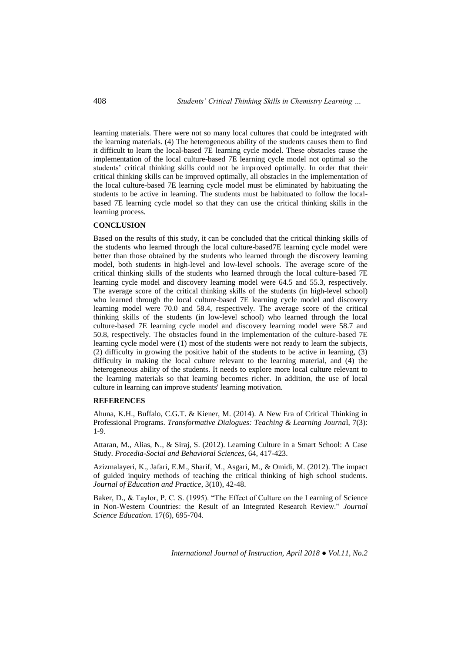learning materials. There were not so many local cultures that could be integrated with the learning materials. (4) The heterogeneous ability of the students causes them to find it difficult to learn the local-based 7E learning cycle model. These obstacles cause the implementation of the local culture-based 7E learning cycle model not optimal so the students' critical thinking skills could not be improved optimally. In order that their critical thinking skills can be improved optimally, all obstacles in the implementation of the local culture-based 7E learning cycle model must be eliminated by habituating the students to be active in learning. The students must be habituated to follow the localbased 7E learning cycle model so that they can use the critical thinking skills in the learning process.

## **CONCLUSION**

Based on the results of this study, it can be concluded that the critical thinking skills of the students who learned through the local culture-based7E learning cycle model were better than those obtained by the students who learned through the discovery learning model, both students in high-level and low-level schools. The average score of the critical thinking skills of the students who learned through the local culture-based 7E learning cycle model and discovery learning model were 64.5 and 55.3, respectively. The average score of the critical thinking skills of the students (in high-level school) who learned through the local culture-based 7E learning cycle model and discovery learning model were 70.0 and 58.4, respectively. The average score of the critical thinking skills of the students (in low-level school) who learned through the local culture-based 7E learning cycle model and discovery learning model were 58.7 and 50.8, respectively. The obstacles found in the implementation of the culture-based 7E learning cycle model were (1) most of the students were not ready to learn the subjects, (2) difficulty in growing the positive habit of the students to be active in learning, (3) difficulty in making the local culture relevant to the learning material, and (4) the heterogeneous ability of the students. It needs to explore more local culture relevant to the learning materials so that learning becomes richer. In addition, the use of local culture in learning can improve students' learning motivation.

#### **REFERENCES**

Ahuna, K.H., Buffalo, C.G.T. & Kiener, M. (2014). A New Era of Critical Thinking in Professional Programs. *Transformative Dialogues: Teaching & Learning Journa*l, 7(3): 1-9.

Attaran, M., Alias, N., & Siraj, S. (2012). Learning Culture in a Smart School: A Case Study. *Procedia-Social and Behavioral Sciences*, 64, 417-423.

Azizmalayeri, K., Jafari, E.M., Sharif, M., Asgari, M., & Omidi, M. (2012). The impact of guided inquiry methods of teaching the critical thinking of high school students. *Journal of Education and Practice*, 3(10), 42-48.

Baker, D., & Taylor, P. C. S. (1995). "The Effect of Culture on the Learning of Science in Non-Western Countries: the Result of an Integrated Research Review." *Journal Science Education*. 17(6), 695-704.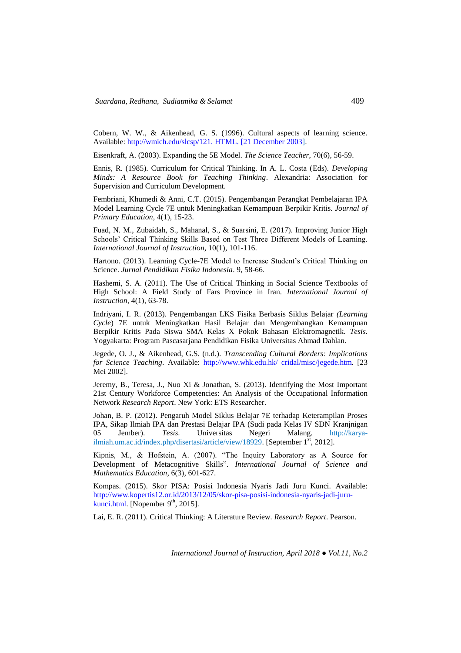Cobern, W. W., & Aikenhead, G. S. (1996). Cultural aspects of learning science. Available: http://wmich.edu/slcsp/121. [HTML. \[21 December 2003\]](http://wmich.edu/slcsp/121.%20htm.%20%5b21%20Desember%202003).

Eisenkraft, A. (2003). Expanding the 5E Model. *The Science Teacher*, 70(6), 56-59.

Ennis, R. (1985). Curriculum for Critical Thinking. In A. L. Costa (Eds). *Developing Minds: A Resource Book for Teaching Thinking*. Alexandria: Association for Supervision and Curriculum Development.

Fembriani, Khumedi & Anni, C.T. (2015). Pengembangan Perangkat Pembelajaran IPA Model Learning Cycle 7E untuk Meningkatkan Kemampuan Berpikir Kritis. *Journal of Primary Education*, 4(1), 15-23.

Fuad, N. M., Zubaidah, S., Mahanal, S., & Suarsini, E. (2017). Improving Junior High Schools' Critical Thinking Skills Based on Test Three Different Models of Learning. *International Journal of Instruction*, 10(1), 101-116.

Hartono. (2013). Learning Cycle-7E Model to Increase Student's Critical Thinking on Science. *Jurnal Pendidikan Fisika Indonesia*. 9, 58-66.

Hashemi, S. A. (2011). The Use of Critical Thinking in Social Science Textbooks of High School: A Field Study of Fars Province in Iran. *International Journal of Instruction*, 4(1), 63-78.

Indriyani, I. R. (2013). Pengembangan LKS Fisika Berbasis Siklus Belajar *(Learning Cycle*) 7E untuk Meningkatkan Hasil Belajar dan Mengembangkan Kemampuan Berpikir Kritis Pada Siswa SMA Kelas X Pokok Bahasan Elektromagnetik. *Tesis*. Yogyakarta: Program Pascasarjana Pendidikan Fisika Universitas Ahmad Dahlan.

Jegede, O. J., & Aikenhead, G.S. (n.d.). *Transcending Cultural Borders: Implications for Science Teaching*. Available: [http://www.whk.edu.hk/](http://www.whk.edu.hk/%20cridal/misc/jegede.htm) cridal/misc/jegede.htm. [23 Mei 2002].

Jeremy, B., Teresa, J., Nuo Xi & Jonathan, S. (2013). Identifying the Most Important 21st Century Workforce Competencies: An Analysis of the Occupational Information Network *Research Report*. New York: ETS Researcher.

Johan, B. P. (2012). Pengaruh Model Siklus Belajar 7E terhadap Keterampilan Proses IPA, Sikap Ilmiah IPA dan Prestasi Belajar IPA (Sudi pada Kelas IV SDN Kranjnigan 05 Jember). *Tesis*. Universitas Negeri Malang. http://karyailmiah.um.ac.id/index.php/disertasi/article/view/18929. [September 1<sup>st</sup>, 2012].

Kipnis, M., & Hofstein, A. (2007). "The Inquiry Laboratory as A Source for Development of Metacognitive Skills". *International Journal of Science and Mathematics Education*, 6(3), 601-627.

Kompas. (2015). Skor PISA: Posisi Indonesia Nyaris Jadi Juru Kunci. Available: [http://www.kopertis12.or.id/2013/12/05/skor-pisa-posisi-indonesia-nyaris-jadi-juru](http://www.kopertis12.or.id/2013/12/05/skor-pisa-posisi-indonesia-nyaris-jadi-juru-kunci.html)[kunci.html.](http://www.kopertis12.or.id/2013/12/05/skor-pisa-posisi-indonesia-nyaris-jadi-juru-kunci.html) [Nopember  $9<sup>th</sup>$ , 2015].

Lai, E. R. (2011). Critical Thinking: A Literature Review. *Research Report*. Pearson.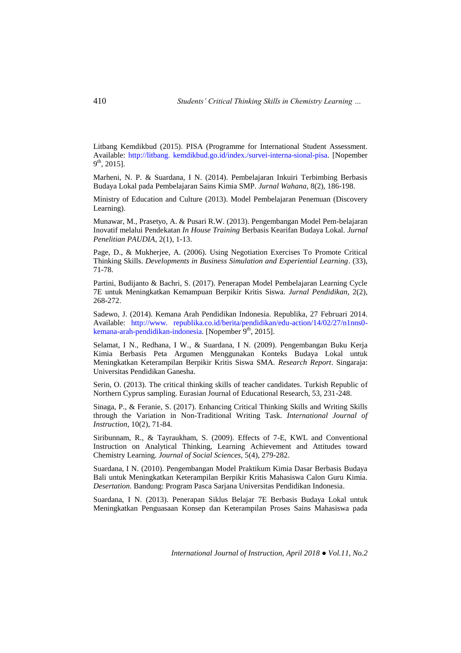Litbang Kemdikbud (2015). PISA (Programme for International Student Assessment. Available: http://litbang. kemdikbud.go.id/index./survei-interna-sional-pisa. [Nopember  $9^{\text{th}}$ , 2015].

Marheni, N. P. & Suardana, I N. (2014). Pembelajaran Inkuiri Terbimbing Berbasis Budaya Lokal pada Pembelajaran Sains Kimia SMP. *Jurnal Wahana*, 8(2), 186-198.

Ministry of Education and Culture (2013). Model Pembelajaran Penemuan (Discovery Learning).

Munawar, M., Prasetyo, A. & Pusari R.W. (2013). Pengembangan Model Pem-belajaran Inovatif melalui Pendekatan *In House Training* Berbasis Kearifan Budaya Lokal. *Jurnal Penelitian PAUDIA*, 2(1), 1-13.

Page, D., & Mukherjee, A. (2006). Using Negotiation Exercises To Promote Critical Thinking Skills. *Developments in Business Simulation and Experiential Learning*. (33), 71-78.

Partini, Budijanto & Bachri, S. (2017). Penerapan Model Pembelajaran Learning Cycle 7E untuk Meningkatkan Kemampuan Berpikir Kritis Siswa. *Jurnal Pendidikan*, 2(2), 268-272.

Sadewo, J. (2014). Kemana Arah Pendidikan Indonesia. Republika, 27 Februari 2014. Available: http://www. republika.co.id/berita/pendidikan/edu-action/14/02/27/n1nns0 kemana-arah-pendidikan-indonesia. [Nopember 9<sup>th</sup>, 2015].

Selamat, I N., Redhana, I W., & Suardana, I N. (2009). Pengembangan Buku Kerja Kimia Berbasis Peta Argumen Menggunakan Konteks Budaya Lokal untuk Meningkatkan Keterampilan Berpikir Kritis Siswa SMA. *Research Report*. Singaraja: Universitas Pendidikan Ganesha.

Serin, O. (2013). The critical thinking skills of teacher candidates. Turkish Republic of Northern Cyprus sampling. Eurasian Journal of Educational Research, 53, 231-248.

Sinaga, P., & Feranie, S. (2017). Enhancing Critical Thinking Skills and Writing Skills through the Variation in Non-Traditional Writing Task. *International Journal of Instruction*, 10(2), 71-84.

Siribunnam, R., & Tayraukham, S. (2009). Effects of 7-E, KWL and Conventional Instruction on Analytical Thinking, Learning Achievement and Attitudes toward Chemistry Learning. *Journal of Social Sciences*, 5(4), 279-282.

Suardana, I N. (2010). Pengembangan Model Praktikum Kimia Dasar Berbasis Budaya Bali untuk Meningkatkan Keterampilan Berpikir Kritis Mahasiswa Calon Guru Kimia. *Desertation.* Bandung: Program Pasca Sarjana Universitas Pendidikan Indonesia.

Suardana, I N. (2013). Penerapan Siklus Belajar 7E Berbasis Budaya Lokal untuk Meningkatkan Penguasaan Konsep dan Keterampilan Proses Sains Mahasiswa pada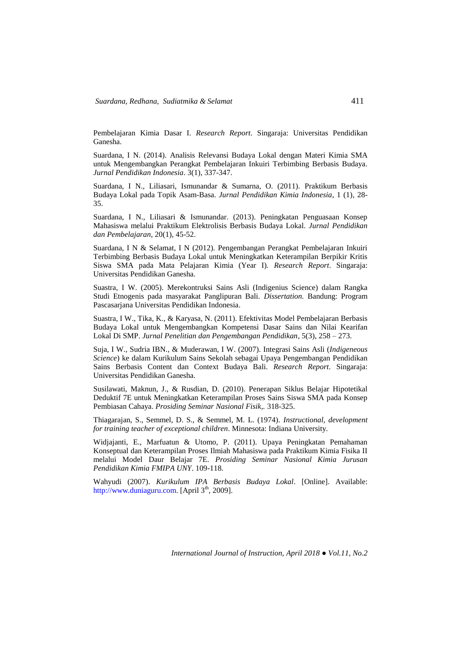Pembelajaran Kimia Dasar I. *Research Report*. Singaraja: Universitas Pendidikan Ganesha.

Suardana, I N. (2014). Analisis Relevansi Budaya Lokal dengan Materi Kimia SMA untuk Mengembangkan Perangkat Pembelajaran Inkuiri Terbimbing Berbasis Budaya. *Jurnal Pendidikan Indonesia*. 3(1), 337-347.

Suardana, I N., Liliasari, Ismunandar & Sumarna, O. (2011). Praktikum Berbasis Budaya Lokal pada Topik Asam-Basa. *Jurnal Pendidikan Kimia Indonesia*, 1 (1), 28- 35.

Suardana, I N., Liliasari & Ismunandar. (2013). Peningkatan Penguasaan Konsep Mahasiswa melalui Praktikum Elektrolisis Berbasis Budaya Lokal*. Jurnal Pendidikan dan Pembelajaran*, 20(1), 45-52.

Suardana, I N & Selamat, I N (2012). Pengembangan Perangkat Pembelajaran Inkuiri Terbimbing Berbasis Budaya Lokal untuk Meningkatkan Keterampilan Berpikir Kritis Siswa SMA pada Mata Pelajaran Kimia (Year I). *Research Report*. Singaraja: Universitas Pendidikan Ganesha.

Suastra, I W. (2005). Merekontruksi Sains Asli (Indigenius Science) dalam Rangka Studi Etnogenis pada masyarakat Panglipuran Bali. *Dissertation.* Bandung: Program Pascasarjana Universitas Pendidikan Indonesia.

Suastra, I W., Tika, K., & Karyasa, N. (2011). Efektivitas Model Pembelajaran Berbasis Budaya Lokal untuk Mengembangkan Kompetensi Dasar Sains dan Nilai Kearifan Lokal Di SMP. *Jurnal Penelitian dan Pengembangan Pendidikan*, 5(3), 258 – 273.

Suja, I W., Sudria IBN., & Muderawan, I W. (2007). Integrasi Sains Asli (*Indigeneous Science*) ke dalam Kurikulum Sains Sekolah sebagai Upaya Pengembangan Pendidikan Sains Berbasis Content dan Context Budaya Bali. *Research Report*. Singaraja: Universitas Pendidikan Ganesha.

Susilawati, Maknun, J., & Rusdian, D. (2010). Penerapan Siklus Belajar Hipotetikal Deduktif 7E untuk Meningkatkan Keterampilan Proses Sains Siswa SMA pada Konsep Pembiasan Cahaya. *Prosiding Seminar Nasional Fisik,.* 318-325.

Thiagarajan, S., Semmel, D. S., & Semmel, M. L. (1974). *Instructional, development for training teacher of exceptional children*. Minnesota: Indiana University.

Widjajanti, E., Marfuatun & Utomo, P. (2011). Upaya Peningkatan Pemahaman Konseptual dan Keterampilan Proses Ilmiah Mahasiswa pada Praktikum Kimia Fisika II melalui Model Daur Belajar 7E. *Prosiding Seminar Nasional Kimia Jurusan Pendidikan Kimia FMIPA UNY*. 109-118.

Wahyudi (2007). *Kurikulum IPA Berbasis Budaya Lokal*. [Online]. Available: [http://www.duniaguru.com.](http://www.duniaguru.com/) [April 3<sup>th</sup>, 2009].